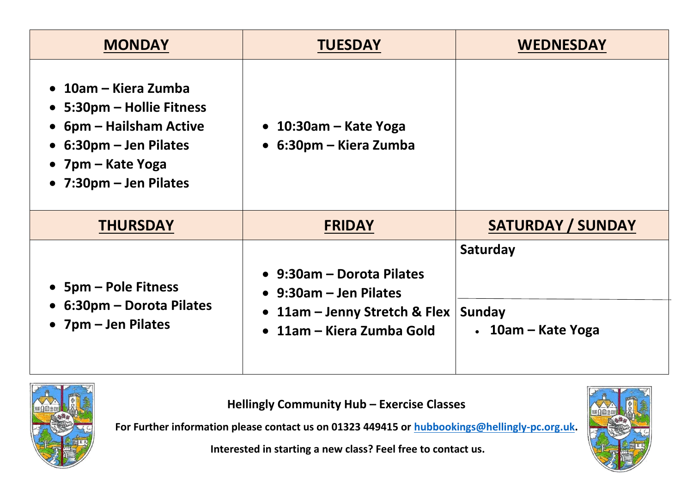| <b>MONDAY</b>                                                                                                                                       | <b>TUESDAY</b>                                                                                                                                  | <b>WEDNESDAY</b>                               |
|-----------------------------------------------------------------------------------------------------------------------------------------------------|-------------------------------------------------------------------------------------------------------------------------------------------------|------------------------------------------------|
| 10am – Kiera Zumba<br>• 5:30pm – Hollie Fitness<br>• 6pm – Hailsham Active<br>• 6:30pm – Jen Pilates<br>• 7pm – Kate Yoga<br>• 7:30pm – Jen Pilates | $\bullet$ 10:30am – Kate Yoga<br>$\bullet$ 6:30pm – Kiera Zumba                                                                                 |                                                |
| <b>THURSDAY</b>                                                                                                                                     | <b>FRIDAY</b>                                                                                                                                   | <b>SATURDAY / SUNDAY</b>                       |
| • 5pm – Pole Fitness<br>• 6:30pm – Dorota Pilates<br>• 7pm – Jen Pilates                                                                            | • 9:30am – Dorota Pilates<br>$\bullet$ 9:30am – Jen Pilates<br>11am – Jenny Stretch & Flex<br>$\bullet$<br>11am – Kiera Zumba Gold<br>$\bullet$ | Saturday<br>Sunday<br>$\cdot$ 10am – Kate Yoga |



**Hellingly Community Hub – Exercise Classes**

**For Further information please contact us on 01323 449415 or [hubbookings@hellingly-pc.org.uk.](mailto:hubbookings@hellingly-pc.org.uk)**

**Interested in starting a new class? Feel free to contact us.**